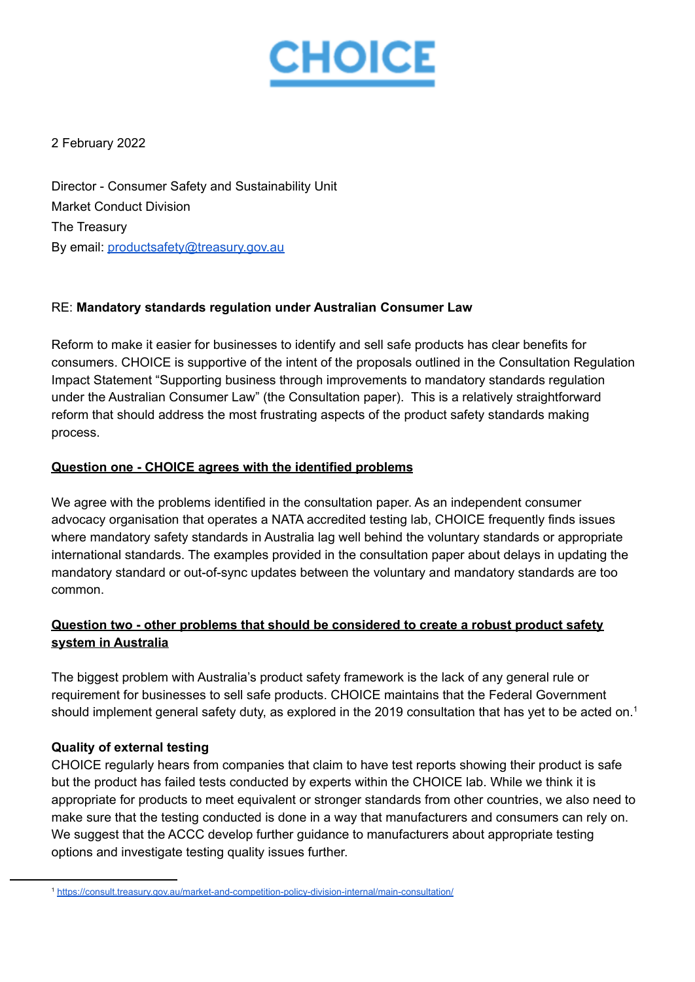

2 February 2022

Director - Consumer Safety and Sustainability Unit Market Conduct Division The Treasury By email: [productsafety@treasury.gov.au](mailto:productsafety@treasury.gov.au)

## RE: **Mandatory standards regulation under Australian Consumer Law**

Reform to make it easier for businesses to identify and sell safe products has clear benefits for consumers. CHOICE is supportive of the intent of the proposals outlined in the Consultation Regulation Impact Statement "Supporting business through improvements to mandatory standards regulation under the Australian Consumer Law" (the Consultation paper). This is a relatively straightforward reform that should address the most frustrating aspects of the product safety standards making process.

### **Question one - CHOICE agrees with the identified problems**

We agree with the problems identified in the consultation paper. As an independent consumer advocacy organisation that operates a NATA accredited testing lab, CHOICE frequently finds issues where mandatory safety standards in Australia lag well behind the voluntary standards or appropriate international standards. The examples provided in the consultation paper about delays in updating the mandatory standard or out-of-sync updates between the voluntary and mandatory standards are too common.

# **Question two - other problems that should be considered to create a robust product safety system in Australia**

The biggest problem with Australia's product safety framework is the lack of any general rule or requirement for businesses to sell safe products. CHOICE maintains that the Federal Government should implement general safety duty, as explored in the 2019 consultation that has yet to be acted on.<sup>1</sup>

## **Quality of external testing**

CHOICE regularly hears from companies that claim to have test reports showing their product is safe but the product has failed tests conducted by experts within the CHOICE lab. While we think it is appropriate for products to meet equivalent or stronger standards from other countries, we also need to make sure that the testing conducted is done in a way that manufacturers and consumers can rely on. We suggest that the ACCC develop further guidance to manufacturers about appropriate testing options and investigate testing quality issues further.

<sup>1</sup> <https://consult.treasury.gov.au/market-and-competition-policy-division-internal/main-consultation/>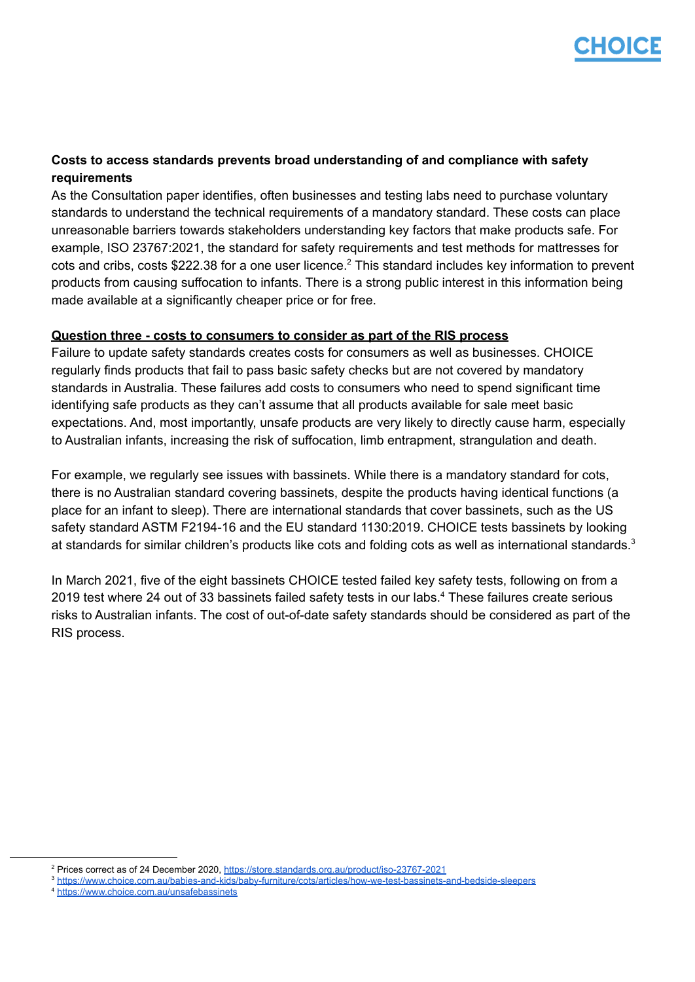

## **Costs to access standards prevents broad understanding of and compliance with safety requirements**

As the Consultation paper identifies, often businesses and testing labs need to purchase voluntary standards to understand the technical requirements of a mandatory standard. These costs can place unreasonable barriers towards stakeholders understanding key factors that make products safe. For example, ISO 23767:2021, the standard for safety requirements and test methods for mattresses for cots and cribs, costs \$222.38 for a one user licence.<sup>2</sup> This standard includes key information to prevent products from causing suffocation to infants. There is a strong public interest in this information being made available at a significantly cheaper price or for free.

### **Question three - costs to consumers to consider as part of the RIS process**

Failure to update safety standards creates costs for consumers as well as businesses. CHOICE regularly finds products that fail to pass basic safety checks but are not covered by mandatory standards in Australia. These failures add costs to consumers who need to spend significant time identifying safe products as they can't assume that all products available for sale meet basic expectations. And, most importantly, unsafe products are very likely to directly cause harm, especially to Australian infants, increasing the risk of suffocation, limb entrapment, strangulation and death.

For example, we regularly see issues with bassinets. While there is a mandatory standard for cots, there is no Australian standard covering bassinets, despite the products having identical functions (a place for an infant to sleep). There are international standards that cover bassinets, such as the US safety standard ASTM F2194-16 and the EU standard 1130:2019. CHOICE tests bassinets by looking at standards for similar children's products like cots and folding cots as well as international standards.<sup>3</sup>

In March 2021, five of the eight bassinets CHOICE tested failed key safety tests, following on from a 2019 test where 24 out of 33 bassinets failed safety tests in our labs.<sup>4</sup> These failures create serious risks to Australian infants. The cost of out-of-date safety standards should be considered as part of the RIS process.

<sup>2</sup> Prices correct as of 24 December 2020, <https://store.standards.org.au/product/iso-23767-2021>

<sup>3</sup> <https://www.choice.com.au/babies-and-kids/baby-furniture/cots/articles/how-we-test-bassinets-and-bedside-sleepers>

<sup>4</sup> <https://www.choice.com.au/unsafebassinets>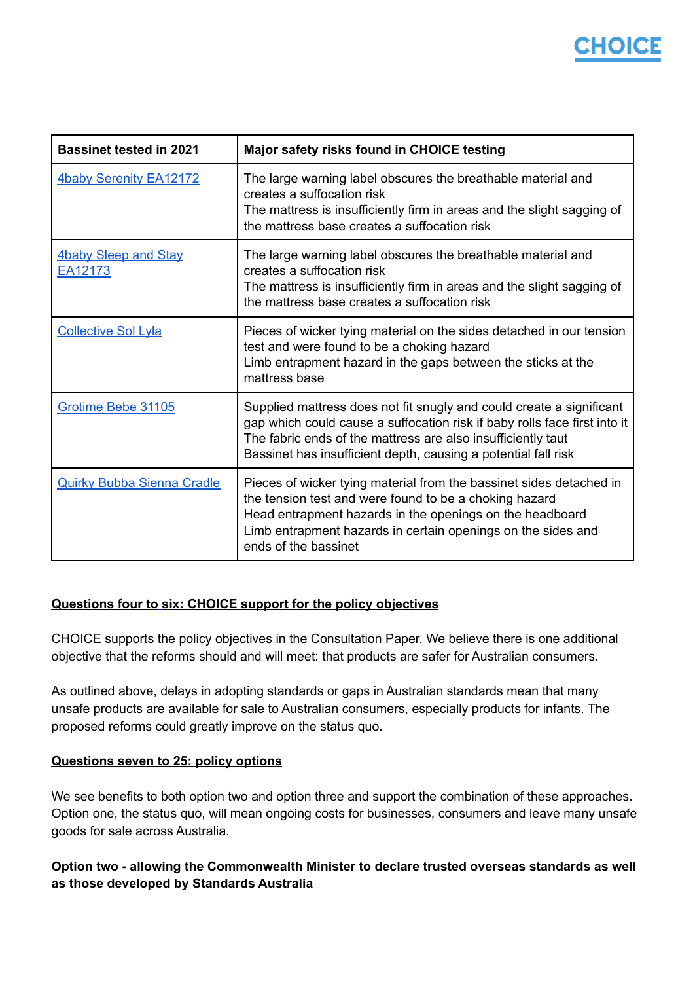# 17IOICE

| <b>Bassinet tested in 2021</b>         | Major safety risks found in CHOICE testing                                                                                                                                                                                                                                          |
|----------------------------------------|-------------------------------------------------------------------------------------------------------------------------------------------------------------------------------------------------------------------------------------------------------------------------------------|
| <b>4baby Serenity EA12172</b>          | The large warning label obscures the breathable material and<br>creates a suffocation risk<br>The mattress is insufficiently firm in areas and the slight sagging of<br>the mattress base creates a suffocation risk                                                                |
| <b>4baby Sleep and Stay</b><br>EA12173 | The large warning label obscures the breathable material and<br>creates a suffocation risk<br>The mattress is insufficiently firm in areas and the slight sagging of<br>the mattress base creates a suffocation risk                                                                |
| <b>Collective Sol Lyla</b>             | Pieces of wicker tying material on the sides detached in our tension<br>test and were found to be a choking hazard<br>Limb entrapment hazard in the gaps between the sticks at the<br>mattress base                                                                                 |
| Grotime Bebe 31105                     | Supplied mattress does not fit snugly and could create a significant<br>gap which could cause a suffocation risk if baby rolls face first into it<br>The fabric ends of the mattress are also insufficiently taut<br>Bassinet has insufficient depth, causing a potential fall risk |
| <b>Quirky Bubba Sienna Cradle</b>      | Pieces of wicker tying material from the bassinet sides detached in<br>the tension test and were found to be a choking hazard<br>Head entrapment hazards in the openings on the headboard<br>Limb entrapment hazards in certain openings on the sides and<br>ends of the bassinet   |

## **Questions four to six: CHOICE support for the policy objectives**

CHOICE supports the policy objectives in the Consultation Paper. We believe there is one additional objective that the reforms should and will meet: that products are safer for Australian consumers.

As outlined above, delays in adopting standards or gaps in Australian standards mean that many unsafe products are available for sale to Australian consumers, especially products for infants. The proposed reforms could greatly improve on the status quo.

### **Questions seven to 25: policy options**

We see benefits to both option two and option three and support the combination of these approaches. Option one, the status quo, will mean ongoing costs for businesses, consumers and leave many unsafe goods for sale across Australia.

# **Option two - allowing the Commonwealth Minister to declare trusted overseas standards as well as those developed by Standards Australia**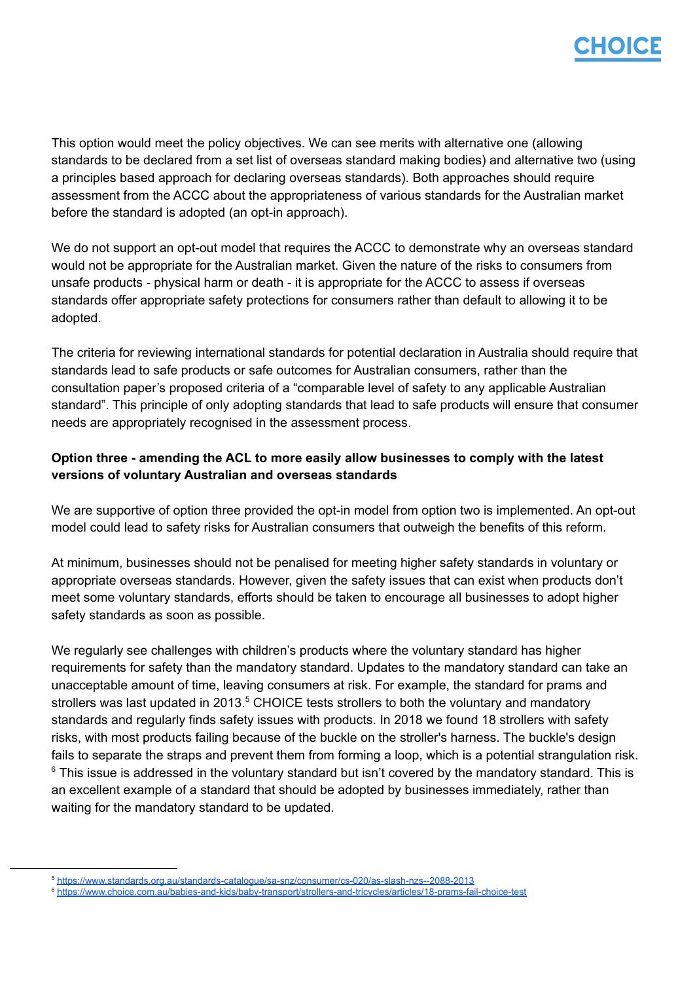

This option would meet the policy objectives. We can see merits with alternative one (allowing standards to be declared from a set list of overseas standard making bodies) and alternative two (using a principles based approach for declaring overseas standards). Both approaches should require assessment from the ACCC about the appropriateness of various standards for the Australian market before the standard is adopted (an opt-in approach).

We do not support an opt-out model that requires the ACCC to demonstrate why an overseas standard would not be appropriate for the Australian market. Given the nature of the risks to consumers from unsafe products - physical harm or death - it is appropriate for the ACCC to assess if overseas standards offer appropriate safety protections for consumers rather than default to allowing it to be adopted.

The criteria for reviewing international standards for potential declaration in Australia should require that standards lead to safe products or safe outcomes for Australian consumers, rather than the consultation paper's proposed criteria of a "comparable level of safety to any applicable Australian standard". This principle of only adopting standards that lead to safe products will ensure that consumer needs are appropriately recognised in the assessment process.

# **Option three - amending the ACL to more easily allow businesses to comply with the latest versions of voluntary Australian and overseas standards**

We are supportive of option three provided the opt-in model from option two is implemented. An opt-out model could lead to safety risks for Australian consumers that outweigh the benefits of this reform.

At minimum, businesses should not be penalised for meeting higher safety standards in voluntary or appropriate overseas standards. However, given the safety issues that can exist when products don't meet some voluntary standards, efforts should be taken to encourage all businesses to adopt higher safety standards as soon as possible.

We regularly see challenges with children's products where the voluntary standard has higher requirements for safety than the mandatory standard. Updates to the mandatory standard can take an unacceptable amount of time, leaving consumers at risk. For example, the standard for prams and strollers was last updated in 2013. $5$  CHOICE tests strollers to both the voluntary and mandatory standards and regularly finds safety issues with products. In 2018 we found 18 strollers with safety risks, with most products failing because of the buckle on the stroller's harness. The buckle's design fails to separate the straps and prevent them from forming a loop, which is a potential strangulation risk.  $6$  This issue is addressed in the voluntary standard but isn't covered by the mandatory standard. This is an excellent example of a standard that should be adopted by businesses immediately, rather than waiting for the mandatory standard to be updated.

<sup>5</sup> <https://www.standards.org.au/standards-catalogue/sa-snz/consumer/cs-020/as-slash-nzs--2088-2013>

<sup>6</sup> <https://www.choice.com.au/babies-and-kids/baby-transport/strollers-and-tricycles/articles/18-prams-fail-choice-test>